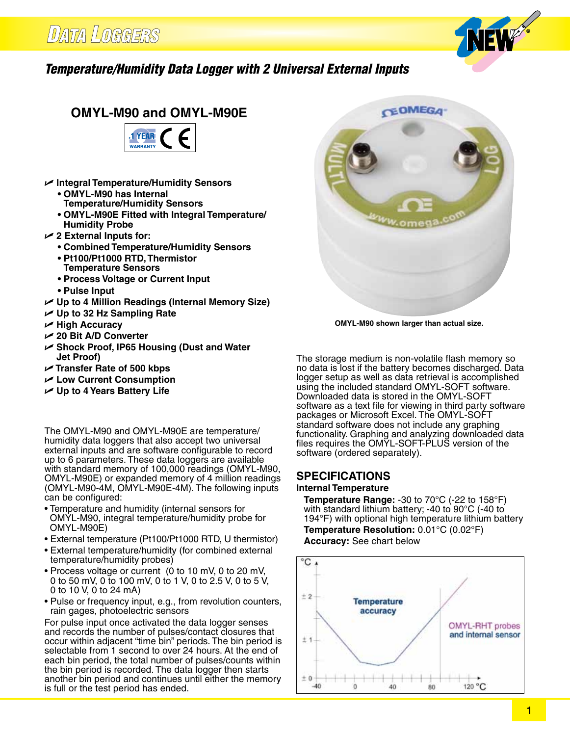

### *Temperature/Humidity Data Logger with 2 Universal External Inputs*

## **OMYL-M90 and OMYL-M90E**



- U **Integral Temperature/Humidity Sensors**
	- **• OMYL-M90 has Internal**
	- **Temperature/Humidity Sensors**
	- **• OMYL-M90E Fitted with Integral Temperature/ Humidity Probe**
- U **2 External Inputs for:**
	- **• Combined Temperature/Humidity Sensors**
	- **• Pt100/Pt1000 RTD,Thermistor Temperature Sensors**
	- **• Process Voltage or Current Input**
	- **• Pulse Input**
- U **Up to 4 Million Readings (Internal Memory Size)**
- U **Up to 32 Hz Sampling Rate**
- U **High Accuracy**
- U **20 Bit A/D Converter**
- U **Shock Proof, IP65 Housing (Dust and Water Jet Proof)**
- U **Transfer Rate of 500 kbps**
- U **Low Current Consumption**
- U **Up to 4 Years Battery Life**

The OMYL-M90 and OMYL-M90E are temperature/ humidity data loggers that also accept two universal external inputs and are software configurable to record up to 6 parameters. These data loggers are available with standard memory of 100,000 readings (OMYL-M90, OMYL-M90E) or expanded memory of 4 million readings (OMYL-M90-4M, OMYL-M90E-4M). The following inputs can be configured:

- Temperature and humidity (internal sensors for OMYL-M90, integral temperature/humidity probe for OMYL-M90E)
- External temperature (Pt100/Pt1000 RTD, U thermistor)
- External temperature/humidity (for combined external temperature/humidity probes)
- Process voltage or current (0 to 10 mV, 0 to 20 mV, 0 to 50 mV, 0 to 100 mV, 0 to 1 V, 0 to 2.5 V, 0 to 5 V, 0 to 10 V, 0 to 24 mA)
- Pulse or frequency input, e.g., from revolution counters, rain gages, photoelectric sensors

For pulse input once activated the data logger senses and records the number of pulses/contact closures that occur within adjacent "time bin" periods. The bin period is selectable from 1 second to over 24 hours. At the end of each bin period, the total number of pulses/counts within the bin period is recorded. The data logger then starts another bin period and continues until either the memory is full or the test period has ended.



**OMYL-M90 shown larger than actual size.**

The storage medium is non-volatile flash memory so no data is lost if the battery becomes discharged. Data logger setup as well as data retrieval is accomplished using the included standard OMYL-SOFT software. Downloaded data is stored in the OMYL-SOFT software as a text file for viewing in third party software packages or Microsoft Excel. The OMYL-SOFT standard software does not include any graphing functionality. Graphing and analyzing downloaded data files requires the OMYL-SOFT-PLUS version of the software (ordered separately).

## **SPECIFICATIONS**

#### **Internal Temperature**

 **Temperature Range:** -30 to 70°C (-22 to 158°F) with standard lithium battery; -40 to 90 $\mathrm{^{\circ}C}$  (-40 to 194°F) with optional high temperature lithium battery **Temperature Resolution:** 0.01°C (0.02°F) **Accuracy:** See chart below

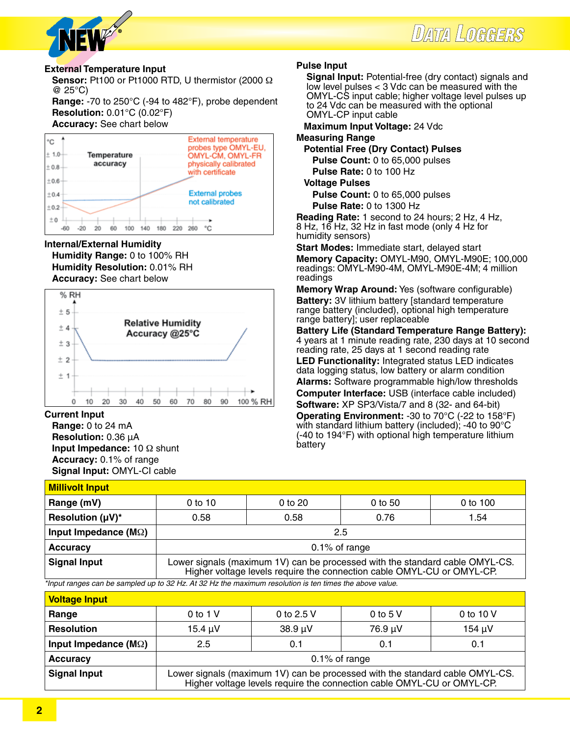



#### **External Temperature Input**

 **Sensor:** Pt100 or Pt1000 RTD, U thermistor (2000 Ω @ 25°C)

**Range:** -70 to 250°C (-94 to 482°F), probe dependent **Resolution:** 0.01°C (0.02°F)

#### **Accuracy:** See chart below



#### **Internal/External Humidity**

**Humidity Range:** 0 to 100% RH **Humidity Resolution:** 0.01% RH **Accuracy:** See chart below



**Current Input**

**Range:** 0 to 24 mA **Resolution:** 0.36 µA **Input Impedance:** 10 Ω shunt **Accuracy:** 0.1% of range **Signal Input:** OMYL-CI cable

#### **Pulse Input**

**Signal Input:** Potential-free (dry contact) signals and low level pulses < 3 Vdc can be measured with the OMYL-CS input cable; higher voltage level pulses up to 24 Vdc can be measured with the optional OMYL-CP input cable

**Maximum Input Voltage:** 24 Vdc

**Measuring Range**

**Potential Free (Dry Contact) Pulses**

 **Pulse Count:** 0 to 65,000 pulses **Pulse Rate:** 0 to 100 Hz

**Voltage Pulses**

 **Pulse Count:** 0 to 65,000 pulses

 **Pulse Rate:** 0 to 1300 Hz

**Reading Rate:** 1 second to 24 hours; 2 Hz, 4 Hz, 8 Hz, 16 Hz, 32 Hz in fast mode (only 4 Hz for humidity sensors)

**Start Modes:** Immediate start, delayed start **Memory Capacity:** OMYL-M90, OMYL-M90E; 100,000 readings: OMYL-M90-4M, OMYL-M90E-4M; 4 million readings

**Memory Wrap Around:** Yes (software configurable) **Battery:** 3V lithium battery [standard temperature range battery (included), optional high temperature range battery]; user replaceable

**Battery Life (Standard Temperature Range Battery):**  4 years at 1 minute reading rate, 230 days at 10 second reading rate, 25 days at 1 second reading rate **LED Functionality:** Integrated status LED indicates data logging status, low battery or alarm condition **Alarms:** Software programmable high/low thresholds **Computer Interface:** USB (interface cable included) **Software:** XP SP3/Vista/7 and 8 (32- and 64-bit) **Operating Environment:** -30 to 70°C (-22 to 158°F) with standard lithium battery (included); -40 to 90°C (-40 to 194°F) with optional high temperature lithium battery

#### **Millivolt Input**

| <u> IIIIIIVUR IIIVUR</u>      |                                                                                                                                                        |              |  |  |  |  |
|-------------------------------|--------------------------------------------------------------------------------------------------------------------------------------------------------|--------------|--|--|--|--|
| Range (mV)                    | $0$ to 10<br>0 to 20<br>0 to 100<br>$0$ to 50                                                                                                          |              |  |  |  |  |
| Resolution $(\mu V)^*$        | 0.58                                                                                                                                                   | 0.76<br>0.58 |  |  |  |  |
| Input Impedance ( $M\Omega$ ) | 2.5                                                                                                                                                    |              |  |  |  |  |
| <b>Accuracy</b>               | $0.1\%$ of range                                                                                                                                       |              |  |  |  |  |
| <b>Signal Input</b>           | Lower signals (maximum 1V) can be processed with the standard cable OMYL-CS.<br>Higher voltage levels require the connection cable OMYL-CU or OMYL-CP. |              |  |  |  |  |

*\*Input ranges can be sampled up to 32 Hz. At 32 Hz the maximum resolution is ten times the above value.*

| <b>Voltage Input</b>                   |                                                                                                                                                        |              |           |           |  |
|----------------------------------------|--------------------------------------------------------------------------------------------------------------------------------------------------------|--------------|-----------|-----------|--|
| Range                                  | 0 to 1 $V$                                                                                                                                             | 0 to 2.5 V   | 0 to $5V$ | 0 to 10 V |  |
| <b>Resolution</b>                      | $15.4 \mu V$                                                                                                                                           | $38.9 \mu V$ | 76.9 µV   | 154 µV    |  |
| Input Impedance ( $\textsf{M}\Omega$ ) | 2.5                                                                                                                                                    | 0.1          | 0.1       | 0.1       |  |
| <b>Accuracy</b>                        | $0.1\%$ of range                                                                                                                                       |              |           |           |  |
| <b>Signal Input</b>                    | Lower signals (maximum 1V) can be processed with the standard cable OMYL-CS.<br>Higher voltage levels require the connection cable OMYL-CU or OMYL-CP. |              |           |           |  |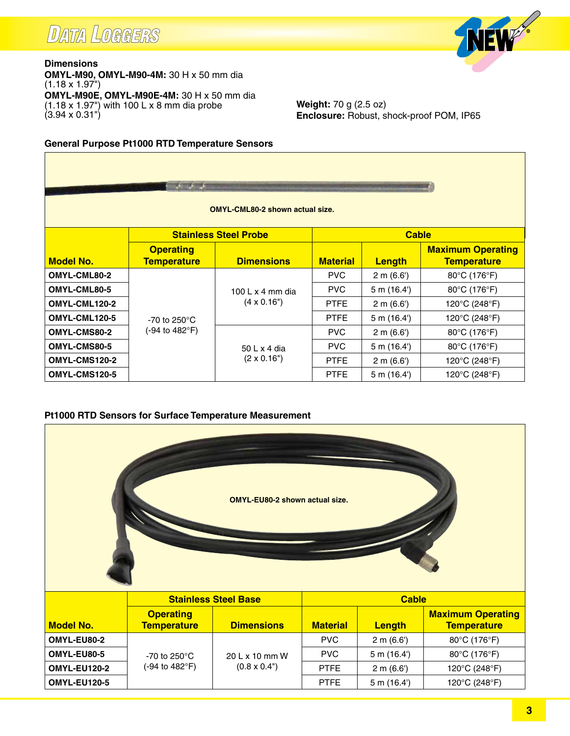## **DATA LOGGERS**

Г



**Dimensions OMYL-M90, OMYL-M90-4M:** 30 H x 50 mm dia  $(1.18 \times 1.97^{\circ})$ **OMYL-M90E, OMYL-M90E-4M:** 30 H x 50 mm dia (1.18 x 1.97") with 100 L x 8 mm dia probe (3.94 x 0.31")

**Weight:** 70 g (2.5 oz) **Enclosure:** Robust, shock-proof POM, IP65

#### **General Purpose Pt1000 RTD Temperature Sensors**

| <b><i><i><u>ASSEMANCE</u></i></i></b><br><b>OMYL-CML80-2 shown actual size.</b> |                                        |                              |                 |              |                                                |
|---------------------------------------------------------------------------------|----------------------------------------|------------------------------|-----------------|--------------|------------------------------------------------|
|                                                                                 |                                        | <b>Stainless Steel Probe</b> |                 | <b>Cable</b> |                                                |
| <b>Model No.</b>                                                                | <b>Operating</b><br><b>Temperature</b> | <b>Dimensions</b>            | <b>Material</b> | Length       | <b>Maximum Operating</b><br><b>Temperature</b> |
| OMYL-CML80-2                                                                    |                                        |                              | <b>PVC</b>      | 2 m (6.6)    | 80°C (176°F)                                   |
| OMYL-CML80-5                                                                    |                                        | 100 L $\times$ 4 mm dia      | <b>PVC</b>      | 5 m (16.4)   | 80°C (176°F)                                   |
| OMYL-CML120-2                                                                   |                                        | $(4 \times 0.16")$           | <b>PTFE</b>     | 2 m (6.6)    | 120°C (248°F)                                  |
| OMYL-CML120-5                                                                   | -70 to 250 $^{\circ}$ C                |                              | <b>PTFE</b>     | 5 m (16.4)   | 120°C (248°F)                                  |
| OMYL-CMS80-2                                                                    | (-94 to 482°F)                         |                              | <b>PVC</b>      | 2 m (6.6)    | 80°C (176°F)                                   |
| OMYL-CMS80-5                                                                    |                                        | 50 L x 4 dia                 | <b>PVC</b>      | 5 m (16.4)   | 80°C (176°F)                                   |
| OMYL-CMS120-2                                                                   |                                        | $(2 \times 0.16")$           | <b>PTFE</b>     | 2 m (6.6)    | 120°C (248°F)                                  |
| OMYL-CMS120-5                                                                   |                                        |                              | <b>PTFE</b>     | 5 m (16.4)   | 120°C (248°F)                                  |

#### **Pt1000 RTD Sensors for Surface Temperature Measurement**

| <b>OMYL-EU80-2 shown actual size.</b> |                                        |                             |                 |               |                                                |
|---------------------------------------|----------------------------------------|-----------------------------|-----------------|---------------|------------------------------------------------|
|                                       |                                        | <b>Stainless Steel Base</b> |                 | <b>Cable</b>  |                                                |
| <b>Model No.</b>                      | <b>Operating</b><br><b>Temperature</b> | <b>Dimensions</b>           | <b>Material</b> | <b>Length</b> | <b>Maximum Operating</b><br><b>Temperature</b> |
| OMYL-EU80-2                           |                                        |                             | <b>PVC</b>      | 2 m (6.6')    | 80°C (176°F)                                   |
| OMYL-EU80-5                           | -70 to 250 $^{\circ}$ C                | 20 L x 10 mm W              | <b>PVC</b>      | 5 m (16.4)    | 80°C (176°F)                                   |
| <b>OMYL-EU120-2</b>                   | (-94 to 482°F)                         | $(0.8 \times 0.4")$         | <b>PTFE</b>     | 2 m (6.6')    | 120°C (248°F)                                  |
| <b>OMYL-EU120-5</b>                   |                                        |                             | <b>PTFE</b>     | 5 m (16.4)    | 120°C (248°F)                                  |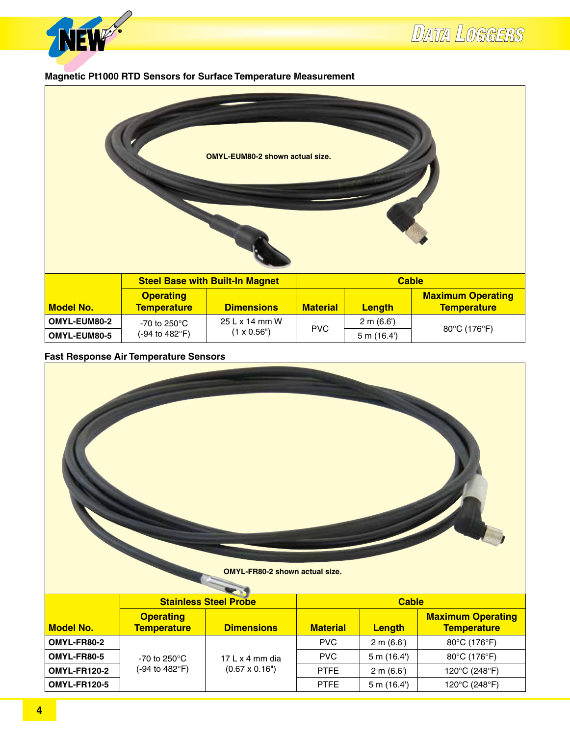

#### **Magnetic Pt1000 RTD Sensors for Surface Temperature Measurement**



#### **Fast Response Air Temperature Sensors**

| <b>OMYL-FR80-2 shown actual size.</b> |                                        |                              |                 |              |                                                |
|---------------------------------------|----------------------------------------|------------------------------|-----------------|--------------|------------------------------------------------|
|                                       |                                        | <b>Stainless Steel Probe</b> |                 | <b>Cable</b> |                                                |
| <b>Model No.</b>                      | <b>Operating</b><br><b>Temperature</b> | <b>Dimensions</b>            | <b>Material</b> | Length       | <b>Maximum Operating</b><br><b>Temperature</b> |
| OMYL-FR80-2                           |                                        |                              | <b>PVC</b>      | 2 m (6.6)    | 80°C (176°F)                                   |
| OMYL-FR80-5                           | -70 to $250^{\circ}$ C                 | 17 L x 4 mm dia              | <b>PVC</b>      | 5 m (16.4')  | 80°C (176°F)                                   |
| <b>OMYL-FR120-2</b>                   | (-94 to 482°F)                         | $(0.67 \times 0.16")$        | <b>PTFE</b>     | 2 m (6.6)    | 120°C (248°F)                                  |
| <b>OMYL-FR120-5</b>                   |                                        |                              | <b>PTFE</b>     | 5 m (16.4')  | 120°C (248°F)                                  |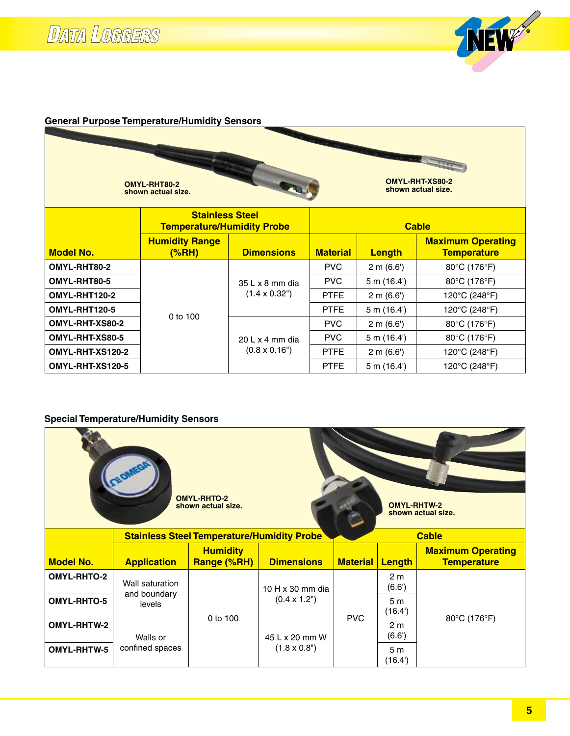# **DATA LOGGERS**



#### **General Purpose Temperature/Humidity Sensors**

| OMYL-RHT-XS80-2<br>OMYL-RHT80-2<br>shown actual size.<br>shown actual size. |                                                             |                             |                 |               |                                                |
|-----------------------------------------------------------------------------|-------------------------------------------------------------|-----------------------------|-----------------|---------------|------------------------------------------------|
|                                                                             | <b>Stainless Steel</b><br><b>Temperature/Humidity Probe</b> |                             |                 |               | <b>Cable</b>                                   |
| <b>Model No.</b>                                                            | <b>Humidity Range</b><br><u>(%RH)</u>                       | <b>Dimensions</b>           | <b>Material</b> | <b>Length</b> | <b>Maximum Operating</b><br><b>Temperature</b> |
| OMYL-RHT80-2                                                                |                                                             |                             | <b>PVC</b>      | 2 m (6.6)     | 80°C (176°F)                                   |
| OMYL-RHT80-5                                                                |                                                             | $35 L \times 8$ mm dia      | <b>PVC</b>      | 5 m (16.4)    | 80°C (176°F)                                   |
| OMYL-RHT120-2                                                               |                                                             | $(1.4 \times 0.32^{\circ})$ | <b>PTFE</b>     | 2 m (6.6)     | 120°C (248°F)                                  |
| OMYL-RHT120-5                                                               | 0 to 100                                                    |                             | <b>PTFE</b>     | 5 m (16.4)    | 120°C (248°F)                                  |
| OMYL-RHT-XS80-2                                                             |                                                             |                             | <b>PVC</b>      | 2 m (6.6)     | 80°C (176°F)                                   |
| OMYL-RHT-XS80-5                                                             |                                                             | $20 L x 4 mm$ dia           | <b>PVC</b>      | 5 m (16.4)    | 80°C (176°F)                                   |
| OMYL-RHT-XS120-2                                                            |                                                             | $(0.8 \times 0.16")$        | <b>PTFE</b>     | 2 m (6.6)     | 120°C (248°F)                                  |
| OMYL-RHT-XS120-5                                                            |                                                             |                             | <b>PTFE</b>     | 5 m (16.4)    | 120°C (248°F)                                  |

### **Special Temperature/Humidity Sensors**

| <b>OMYL-RHTO-2</b><br><b>OMYL-RHTW-2</b><br>shown actual size.<br>shown actual size. |                                                                   |                                |                            |                 |                          |                                                |              |
|--------------------------------------------------------------------------------------|-------------------------------------------------------------------|--------------------------------|----------------------------|-----------------|--------------------------|------------------------------------------------|--------------|
|                                                                                      | <b>Stainless Steel Temperature/Humidity Probe</b><br><b>Cable</b> |                                |                            |                 |                          |                                                |              |
| <b>Model No.</b>                                                                     | <b>Application</b>                                                | <b>Humidity</b><br>Range (%RH) | <b>Dimensions</b>          | <b>Material</b> | Length                   | <b>Maximum Operating</b><br><b>Temperature</b> |              |
| <b>OMYL-RHTO-2</b>                                                                   | Wall saturation                                                   |                                | 10 H x 30 mm dia           |                 | 2 <sub>m</sub><br>(6.6)  |                                                |              |
| <b>OMYL-RHTO-5</b>                                                                   | and boundary<br>levels                                            |                                | $(0.4 \times 1.2^{\circ})$ |                 | 5 <sub>m</sub><br>(16.4) |                                                |              |
| <b>OMYL-RHTW-2</b>                                                                   | Walls or                                                          | 0 to 100                       |                            | 45 L x 20 mm W  | <b>PVC</b>               | 2 <sub>m</sub><br>(6.6')                       | 80°C (176°F) |
| <b>OMYL-RHTW-5</b>                                                                   | confined spaces                                                   |                                | $(1.8 \times 0.8")$        |                 | 5 <sub>m</sub><br>(16.4) |                                                |              |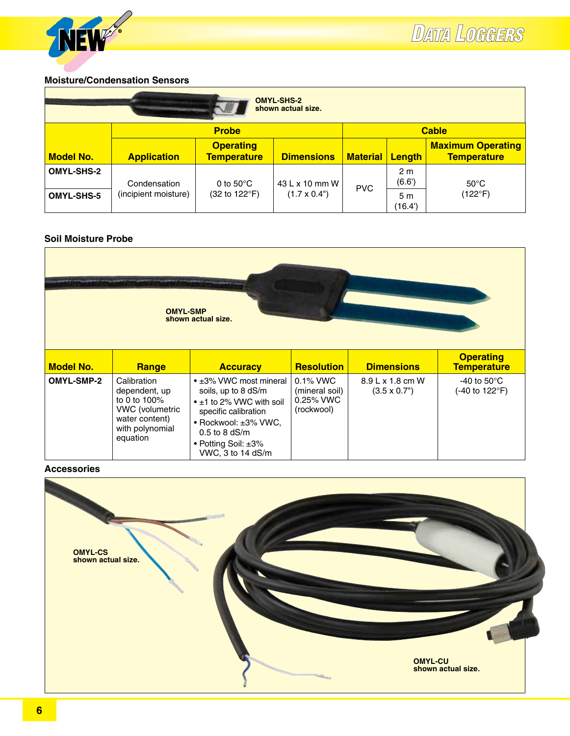

#### **Moisture/Condensation Sensors**

| <b>OMYL-SHS-2</b><br>shown actual size. |                      |                                        |                            |                 |                          |                                                |
|-----------------------------------------|----------------------|----------------------------------------|----------------------------|-----------------|--------------------------|------------------------------------------------|
|                                         |                      | <b>Probe</b>                           |                            |                 |                          | <b>Cable</b>                                   |
| <b>Model No.</b>                        | <b>Application</b>   | <b>Operating</b><br><b>Temperature</b> | <b>Dimensions</b>          | <b>Material</b> | Length                   | <b>Maximum Operating</b><br><b>Temperature</b> |
| <b>OMYL-SHS-2</b>                       | Condensation         | 0 to $50^{\circ}$ C                    | 43 L x 10 mm W             | <b>PVC</b>      | 2 <sub>m</sub><br>(6.6') | $50^{\circ}$ C                                 |
| <b>OMYL-SHS-5</b>                       | (incipient moisture) | (32 to 122°F)                          | $(1.7 \times 0.4^{\circ})$ |                 | 5 <sub>m</sub><br>(16.4) | $(122^{\circ}F)$                               |

#### **Soil Moisture Probe**

| <b>OMYL-SMP</b><br>shown actual size. |                                                                                                                         |                                                                                                                                                                                                |                                                          |                                               |                                                  |
|---------------------------------------|-------------------------------------------------------------------------------------------------------------------------|------------------------------------------------------------------------------------------------------------------------------------------------------------------------------------------------|----------------------------------------------------------|-----------------------------------------------|--------------------------------------------------|
| <b>Model No.</b>                      | Range                                                                                                                   | <b>Accuracy</b>                                                                                                                                                                                | <b>Resolution</b>                                        | <b>Dimensions</b>                             | <b>Operating</b><br><b>Temperature</b>           |
| <b>OMYL-SMP-2</b>                     | Calibration<br>dependent, up<br>to 0 to 100%<br><b>VWC</b> (volumetric<br>water content)<br>with polynomial<br>equation | • ±3% VWC most mineral<br>soils, up to 8 dS/m<br>$\cdot$ ±1 to 2% VWC with soil<br>specific calibration<br>• Rockwool: ±3% VWC,<br>$0.5$ to 8 dS/m<br>• Potting Soil: ±3%<br>VWC, 3 to 14 dS/m | $0.1\%$ VWC<br>(mineral soil)<br>0.25% VWC<br>(rockwool) | $8.9 L \times 1.8$ cm W<br>$(3.5 \times 0.7)$ | -40 to 50 $\mathrm{^{\circ}C}$<br>(-40 to 122°F) |

#### **Accessories**